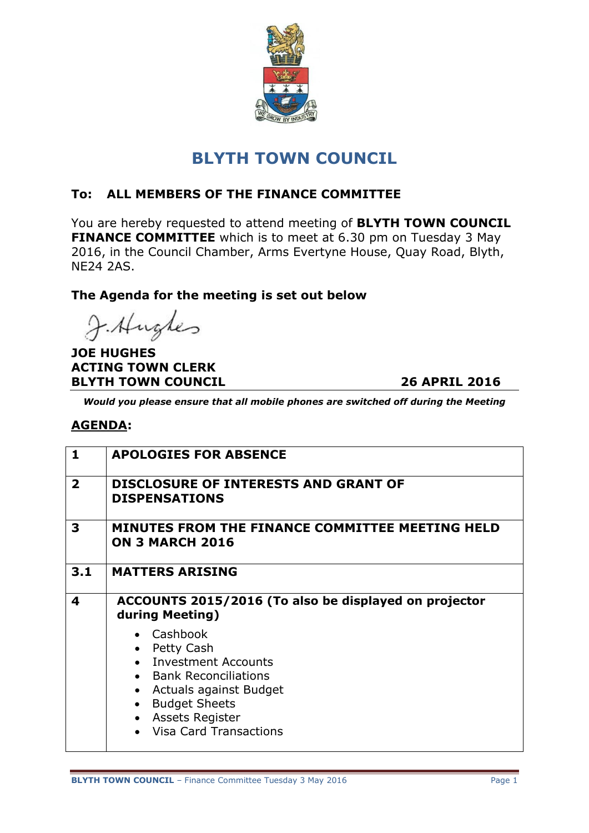

# **BLYTH TOWN COUNCIL**

## **To: ALL MEMBERS OF THE FINANCE COMMITTEE**

You are hereby requested to attend meeting of **BLYTH TOWN COUNCIL FINANCE COMMITTEE** which is to meet at 6.30 pm on Tuesday 3 May 2016, in the Council Chamber, Arms Evertyne House, Quay Road, Blyth, NE24 2AS.

### **The Agenda for the meeting is set out below**

J. Hughes

**JOE HUGHES ACTING TOWN CLERK BLYTH TOWN COUNCIL 26 APRIL 2016**

*Would you please ensure that all mobile phones are switched off during the Meeting*

#### **AGENDA:**

| $\mathbf{1}$            | <b>APOLOGIES FOR ABSENCE</b>                                                                                                                                                                       |
|-------------------------|----------------------------------------------------------------------------------------------------------------------------------------------------------------------------------------------------|
| $\overline{\mathbf{2}}$ | <b>DISCLOSURE OF INTERESTS AND GRANT OF</b><br><b>DISPENSATIONS</b>                                                                                                                                |
| 3                       | MINUTES FROM THE FINANCE COMMITTEE MEETING HELD<br><b>ON 3 MARCH 2016</b>                                                                                                                          |
| 3.1                     | <b>MATTERS ARISING</b>                                                                                                                                                                             |
| 4                       | ACCOUNTS 2015/2016 (To also be displayed on projector<br>during Meeting)                                                                                                                           |
|                         | • Cashbook<br>Petty Cash<br><b>Investment Accounts</b><br><b>Bank Reconciliations</b><br>Actuals against Budget<br><b>Budget Sheets</b><br><b>Assets Register</b><br><b>Visa Card Transactions</b> |